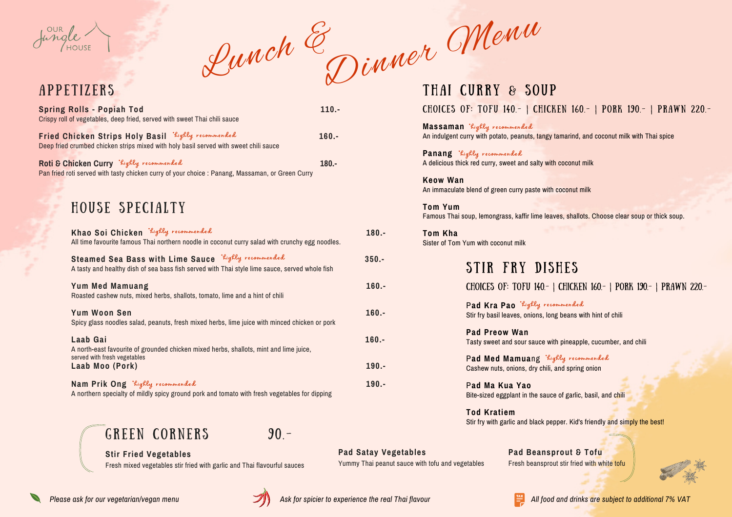**Stir Fried Vegetables**

Fresh mixed vegetables stir fried with garlic and Thai flavourful sauces

Please ask for our vegetarian/vegan menu **WAME ASK for spicier to experience the real Thai flavour All food and drinks are subject to additional 7% VAT** 

**Pad Satay Vegetables**

Yummy Thai peanut sauce with tofu and vegetables



**Pad Beansprout & Tofu** Fresh beansprout stir fried with white tofu

GREEN CORNERS 90.-

Pad Med Mamuang Righly recommended Cashew nuts, onions, dry chili, and spring onion

#### Choices of: Tofu 140.- | Chicken 160.- | Pork 190.- | Prawn 220.-



P**ad Kra Pao** \*highly recommended Stir fry basil leaves, onions, long beans with hint of chili

**Pad Preow Wan** Tasty sweet and sour sauce with pineapple, cucumber, and chili

P**ad Ma Kua Yao** Bite-sized eggplant in the sauce of garlic, basil, and chili

Panang *Righly* recommended A delicious thick red curry, sweet and salty with coconut milk

> **Tod Kratiem** Stir fry with garlic and black pepper. Kid's friendly and simply the best!



A P P E T I Z E R S

### Choices of: Tofu 140.- | Chicken 160.- | Pork 190.- | Prawn 220.-

**Massaman** \*highly recommended An indulgent curry with potato, peanuts, tangy tamarind, and coconut milk with Thai spice

**Keow Wan** An immaculate blend of green curry paste with coconut milk

**Tom Yum** Famous Thai soup, lemongrass, kaffir lime leaves, shallots. Choose clear soup or thick soup.

**Tom Kha** Sister of Tom Yum with coconut milk

## STIR FRY DISHES

| <b>Spring Rolls - Popiah Tod</b><br>Crispy roll of vegetables, deep fried, served with sweet Thai chili sauce                                         | $110. -$ |          |
|-------------------------------------------------------------------------------------------------------------------------------------------------------|----------|----------|
| Fried Chicken Strips Holy Basil `highly recommended<br>Deep fried crumbed chicken strips mixed with holy basil served with sweet chili sauce          | $160.-$  |          |
| Roti & Chicken Curry Kighly recommended<br>Pan fried roti served with tasty chicken curry of your choice : Panang, Massaman, or Green Curry           | $180 -$  |          |
| HOUSE SPECIALTY                                                                                                                                       |          |          |
| Khao Soi Chicken Lighly recommended<br>All time favourite famous Thai northern noodle in coconut curry salad with crunchy egg noodles.                |          | 180.-    |
| Steamed Sea Bass with Lime Sauce Kighly recommended<br>A tasty and healthy dish of sea bass fish served with Thai style lime sauce, served whole fish |          | $350 -$  |
| <b>Yum Med Mamuang</b><br>Roasted cashew nuts, mixed herbs, shallots, tomato, lime and a hint of chili                                                |          | $160. -$ |
| <b>Yum Woon Sen</b><br>Spicy glass noodles salad, peanuts, fresh mixed herbs, lime juice with minced chicken or pork                                  |          | $160.-$  |
| Laab Gai<br>A north-east favourite of grounded chicken mixed herbs, shallots, mint and lime juice,<br>served with fresh vegetables                    |          | $160.-$  |
| Laab Moo (Pork)                                                                                                                                       |          | 190.-    |
| Nam Prik Ong kighly recommended<br>A northern specialty of mildly spicy ground pork and tomato with fresh vegetables for dipping                      |          | 190.-    |

# THAI CURRY & SOUP

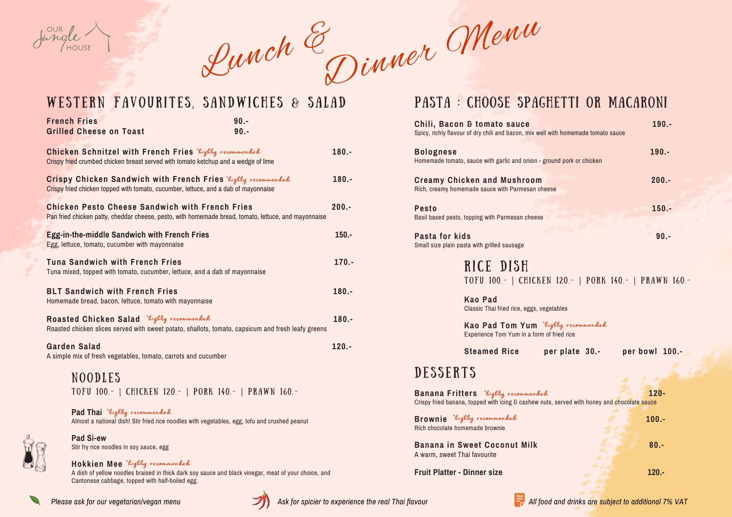**Kao Pad** Classic Thai fried rice, eggs, vegetables

**Kao Pad Tom Yum** \*highly recommended Experience Tom Yum in a form of fried rice

**Steamed Rice per plate 30.- per bowl 100.-**

## DESSERTS

**Banana Fritters**  $k$ ighly recommended **120**-Crispy fried banana, topped with icing & cashew nuts, served with honey and chocolate sauce

## PASTA : Choose Spaghetti or Macaroni

**Chili, Bacon & tomato sauce** Spicy, richly flavour of dry chili and bacon, mix well with

 $B$ olognese Homemade tomato, sauce with garlic and onion - grou

**Creamy Chicken and Mushroom** Rich, creamy homemade sauce with Parmesan chees

**Pesto 150.-** Basil based pesto, topping with Parmesan cheese

**Pasta for kids 90.-** Small size plain pasta with grilled sausage

RICE DISH

**Brownie**  $k$ ighly recommended **100.** Rich chocolate homemade brownie

| <b>French Fries</b>                                                                                   |                             | $90. -$                                                                                                                                                    |          |
|-------------------------------------------------------------------------------------------------------|-----------------------------|------------------------------------------------------------------------------------------------------------------------------------------------------------|----------|
| <b>Grilled Cheese on Toast</b>                                                                        |                             | $90. -$                                                                                                                                                    |          |
|                                                                                                       |                             | Chicken Schnitzel with French Fries Righly recommended<br>Crispy fried crumbed chicken breast served with tomato ketchup and a wedge of lime               | $180. -$ |
|                                                                                                       |                             | Crispy Chicken Sandwich with French Fries <i>Kighly recommended</i><br>Crispy fried chicken topped with tomato, cucumber, lettuce, and a dab of mayonnaise | $180.-$  |
| <b>Chicken Pesto Cheese Sandwich with French Fries</b>                                                |                             | Pan fried chicken patty, cheddar cheese, pesto, with homemade bread, tomato, lettuce, and mayonnaise                                                       | $200 -$  |
| <b>Egg-in-the-middle Sandwich with French Fries</b><br>Egg, lettuce, tomato, cucumber with mayonnaise |                             |                                                                                                                                                            | $150 -$  |
| <b>Tuna Sandwich with French Fries</b>                                                                |                             | Tuna mixed, topped with tomato, cucumber, lettuce, and a dab of mayonnaise                                                                                 | $170. -$ |
| <b>BLT Sandwich with French Fries</b><br>Homemade bread, bacon, lettuce, tomato with mayonnaise       |                             |                                                                                                                                                            | $180. -$ |
| Roasted Chicken Salad 'Lighly recommended                                                             |                             | Roasted chicken slices served with sweet potato, shallots, tomato, capsicum and fresh leafy greens                                                         | $180. -$ |
| <b>Garden Salad</b><br>A simple mix of fresh vegetables, tomato, carrots and cucumber                 |                             |                                                                                                                                                            | $120 -$  |
| <b>NOODLES</b>                                                                                        |                             |                                                                                                                                                            |          |
|                                                                                                       |                             | TOFU 100.-   CHICKEN 120.-   PORK 140.-   PRAWN 160.-                                                                                                      |          |
|                                                                                                       | Pad Thai Righly recommended | Almost a national dish! Stir fried rice noodles with vegetables, egg, tofu and crushed peanut                                                              |          |



**Pad Si-ew** Stir fry rice noodles in soy sauce, egg

A dish of yellow noodles braised in thick dark soy [sauce](https://en.wikipedia.org/wiki/Dark_soy_sauce) and black vinegar, meat of your choice, and Cantonese cabbage, topped with half-boiled egg.

#### **Hokkien Mee** \*highly recommended

**Banana in Sweet Coconut Milk 80.-** A warm, sweet Thai favourite

**Fruit Platter - Dinner size 120.-**



| th homemade tomato sauce | 190.-    |
|--------------------------|----------|
| nd pork or chicken       | $190. -$ |
| e                        | $200.-$  |
|                          | $150. -$ |
|                          |          |

TOFU 100.- | CHICKEN 120.- | PORK 140.- | PRAWN 160.-



Lunch & Dinner Menu

## WESTERN FAVOURITES, SANDWICHES & SALAD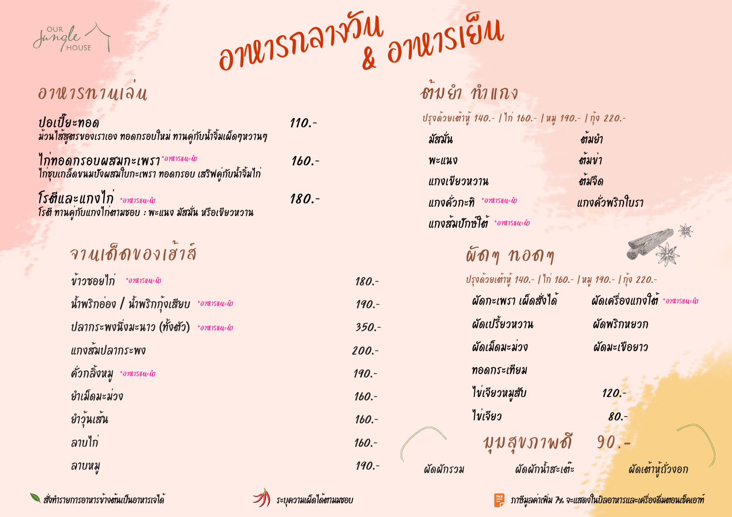ผัดผักรวม ผัดผักน้ำ สะเต๊ะ ผัดเต้าหู้ถั่วงอก

ปอเปี๊ยะทอด 110. -

ไกทอดกรอบผสมกะเพรา $^{*_{\partial\mathcal{W}^{15||u\cdot \hat{u}}}}$  160.-

| ISNIUIƏU                                                                                              |          |          | ิชาบย่ำ ทำแกง                                        |                                           |
|-------------------------------------------------------------------------------------------------------|----------|----------|------------------------------------------------------|-------------------------------------------|
| m<br>ทรของเราเอง ทอดกรอบใหม่ ทานคู่กับน้ำจิ้มเผ็ดๆหวานๆ                                               | $110. -$ |          | มัสมัน                                               | ปรุงด้วยเต้าหู้ 140.-   ไก่ 160.-   หมู 1 |
| <mark>กรอบผสมกะเพรา*<sup>อาหารแนะนำ</sup></mark><br>โดขนมปังผสมใบกะเพรา ทอดกรอบ เสริฟคู่กับน้ำจิ้มไก่ | $160. -$ |          | WELLUV<br>แกงเขียวหวาน                               |                                           |
| า <b>ะ แกงไก่</b> ∗อานารแนะผำ<br>จู่กับแกงไก <b>่งาามชอบ  : พะแนง มัสมั่น หรือเขียวหวาน</b>           | 180. -   |          | แกงด้วกะทิ *อานารแนะนำ<br>แกงสัมปักษ์ใต้ *อานารแนะนำ |                                           |
| จานเด็ดของเฮ้าส์                                                                                      |          |          |                                                      | $\tilde{w}$ on $\eta$ ndon $\eta$         |
| $\check{\mathit{v}}$ าวซอยไก่ *อานารแนะนำ                                                             |          | 180.     |                                                      | ปรุงด้วยเต้าหู้ 140 .-   ไก่ 16           |
| น้ำพริกอ่อง / น้ำพริกกุ้งเสียบ *อานารแนะผัก                                                           |          | $190. -$ |                                                      | ผัดกะเพรา เผ็ดสั่งได้                     |
| ปลากระพงนึ่งมะนาว (ทั้งชัว) *อพเรแนะผัก                                                               |          | $350 -$  |                                                      | ผัดเปรี้ยวหวาน                            |
| แกงสัมปลากระพง                                                                                        |          | $200. -$ |                                                      | ผัดเม็ดมะม่วง                             |
| คั่วกลิ้งหมู<br>*onessuu=ůs                                                                           |          | 190.     |                                                      | ทอดกระเทียม                               |
| ยำเม็ดมะม่วง                                                                                          |          | $160. -$ |                                                      | ไข่เจียวหมูสับ                            |
| ยำวุ้นเส้น                                                                                            |          | $160. -$ | ไข่เจียว                                             |                                           |
| ลาบไก่                                                                                                |          | $160. -$ |                                                      | บุบสุขภาพ                                 |
| ลาบหมู                                                                                                |          | 190.-    | ผัดผักรวม                                            | ผัดผักน้ำสะเ                              |

ี่ สั่งทำรายการอาหารข้างต้นเป็นอาหารเจได้ ระบุความเผ็ดได้ตามมชอบ สั่งทำรายการ กาษีมูลค่าเพิ่ม 7½ จะแสดงในบิลอาหารและเครื่องดื่มตอนเช็คเอาท์

ยำวุ้นเส้น

 $190 - 1$   $\tilde{p}$ v 220. -มัสมั่น ต้มยำ พะแนง ต้มข่า ต้มจืด แกงคั่วพริกใบรา



0.- | หมู 190.- | กุ้ง 220.-



## ผัดกะเพรา เผ็ดสั่งได้ ผัดเครื่องแกงไช \*อาหารแนะนำ

### ผัดพริกหยวก

ผัดมะเขือยาว

 $120. -$ 

 $80. -$ 

ดี 90.-

ไก่ชุบเกล็ดขนมปังผสมใบกะเพรา ทอดกรอบ เสริฟคู่กับน้ำ จิ้มไก่

โ รตีและ แกง ไก่ 180. -

มวนไส้สูตรของเราเอง ทอดกรอบไหม่ ทานคู่กับน้ำจิ้มเผ็ดๆหวานๆ

โรตี ทานคู่กับแกงไก่ตามชอบ : พะแนง มัสมั่น หรือเขียวหวาน



อาหารกลางวัน & อาหารเย็น

## $\partial$  7  $\mathcal{U}$  1  $\mathcal{S}$   $\mathcal{H}$  1  $\mathcal{U}$   $\partial$   $\mathcal{U}$